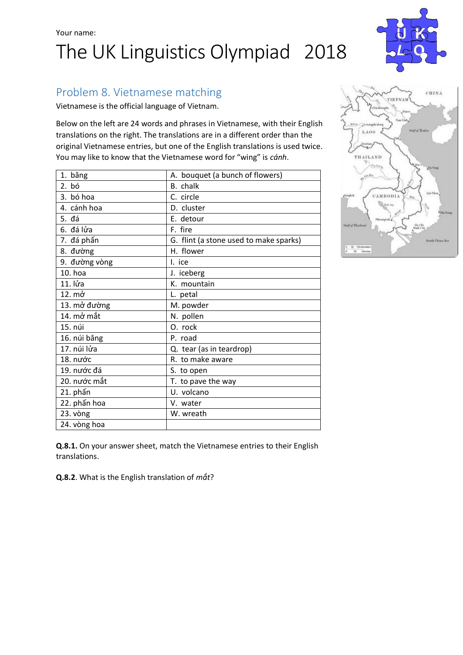## Your name: The UK Linguistics Olympiad 2018



## Problem 8. Vietnamese matching

Vietnamese is the official language of Vietnam.

Below on the left are 24 words and phrases in Vietnamese, with their English translations on the right. The translations are in a different order than the original Vietnamese entries, but one of the English translations is used twice. You may like to know that the Vietnamese word for "wing" is *cánh*.

| 1. băng       | A. bouquet (a bunch of flowers)        |
|---------------|----------------------------------------|
| 2. bó         | B. chalk                               |
| 3. bó hoa     | C. circle                              |
| 4. cánh hoa   | D. cluster                             |
| 5. đá         | E. detour                              |
| 6. đá lửa     | F. fire                                |
| 7. đá phấn    | G. flint (a stone used to make sparks) |
| 8. đường      | H. flower                              |
| 9. đường vòng | I. ice                                 |
| 10. hoa       | J. iceberg                             |
| 11. lửa       | K. mountain                            |
| 12. mở        | L. petal                               |
| 13. mở đường  | M. powder                              |
| 14. mở mắt    | N. pollen                              |
| 15. núi       | O. rock                                |
| 16. núi băng  | P. road                                |
| 17. núi lửa   | Q. tear (as in teardrop)               |
| 18. nước      | R. to make aware                       |
| 19. nước đá   | S. to open                             |
| 20. nước mắt  | T. to pave the way                     |
| 21. phấn      | U. volcano                             |
| 22. phấn hoa  | V. water                               |
| 23. vòng      | W. wreath                              |
| 24. vòng hoa  |                                        |
|               |                                        |

CHINA VIETNAM LAOR THAILAND самворіа

**Q.8.1.** On your answer sheet, match the Vietnamese entries to their English translations.

**Q.8.2**. What is the English translation of *mắt*?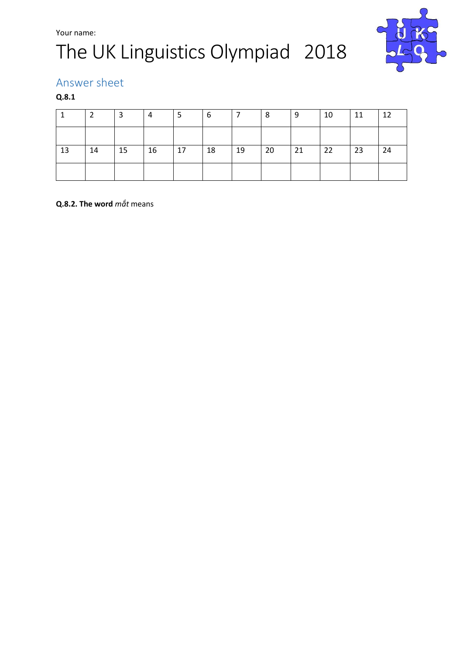# The UK Linguistics Olympiad 2018



### Answer sheet

### **Q.8.1**

|    |    | 3  | 4  | ь  | -6 |    | 8  | -9 | 10 | 11 | 12 |
|----|----|----|----|----|----|----|----|----|----|----|----|
|    |    |    |    |    |    |    |    |    |    |    |    |
| 13 | 14 | 15 | 16 | 17 | 18 | 19 | 20 | 21 | 22 | 23 | 24 |
|    |    |    |    |    |    |    |    |    |    |    |    |

### **Q.8.2. The word** *mắt* means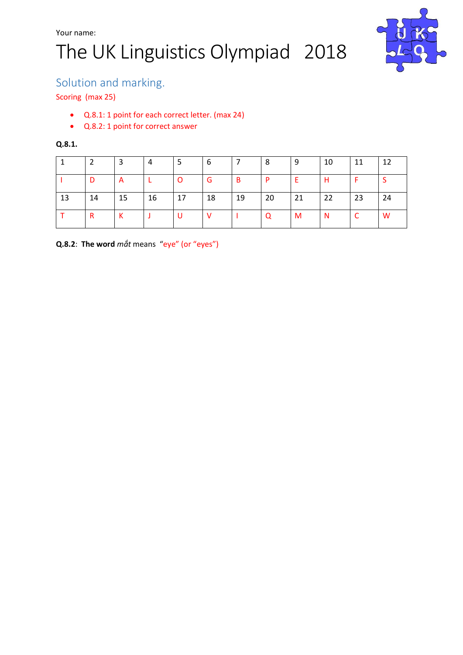# The UK Linguistics Olympiad 2018



### Solution and marking.

#### Scoring (max 25)

- Q.8.1: 1 point for each correct letter. (max 24)
- Q.8.2: 1 point for correct answer

#### **Q.8.1.**

|    |    | -3 | 4  | -5      | -6       |    | 8  | 9  | 10       | 11 | -12 |
|----|----|----|----|---------|----------|----|----|----|----------|----|-----|
|    | D  | A  |    | $\circ$ | G        | B  | -P | Ε  | H        |    |     |
| 13 | 14 | 15 | 16 | 17      | 18       | 19 | 20 | 21 | 22       | 23 | 24  |
|    | R  | К  |    | - U     | <u>V</u> |    | Q  | M  | <b>N</b> | C  | W   |

**Q.8.2**: **The word** *mắt* means "eye" (or "eyes")